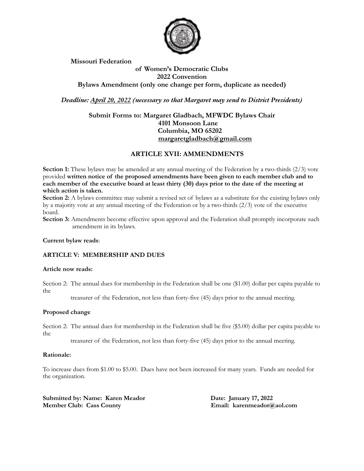

**Missouri Federation**

## **of Women's Democratic Clubs 2022 Convention Bylaws Amendment (only one change per form, duplicate as needed)**

*Deadline: April 20, 2022 (necessary so that Margaret may send to District Presidents)*

## **Submit Forms to: Margaret Gladbach, MFWDC Bylaws Chair 4101 Monsoon Lane Columbia, MO 65202 margaretgladbach@gmail.com**

# **ARTICLE XVII: AMMENDMENTS**

**Section 1:** These bylaws may be amended at any annual meeting of the Federation by a two-thirds (2/3) vote provided **written notice of the proposed amendments have been given to each member club and to**  each member of the executive board at least thirty (30) days prior to the date of the meeting at **which action is taken.**

**Section 2:** A bylaws committee may submit a revised set of bylaws as a substitute for the existing bylaws only by a majority vote at any annual meeting of the Federation or by a two-thirds (2/3) vote of the executive board.

**Section 3:** Amendments become effective upon approval and the Federation shall promptly incorporate such amendment in its bylaws.

## **Current bylaw reads**:

## **ARTICLE V: MEMBERSHIP AND DUES**

#### **Article now reads:**

Section 2: The annual dues for membership in the Federation shall be one (\$1.00) dollar per capita payable to the

treasurer of the Federation, not less than forty-five (45) days prior to the annual meeting.

#### **Proposed change**

Section 2: The annual dues for membership in the Federation shall be five (\$5.00) dollar per capita payable to the

treasurer of the Federation, not less than forty-five (45) days prior to the annual meeting.

### **Rationale:**

To increase dues from \$1.00 to \$5.00. Dues have not been increased for many years. Funds are needed for the organization.

**Submitted by: Name: Karen Meador Date: January 17, 2022 Member Club: Cass County Email: karenmeador@aol.com**